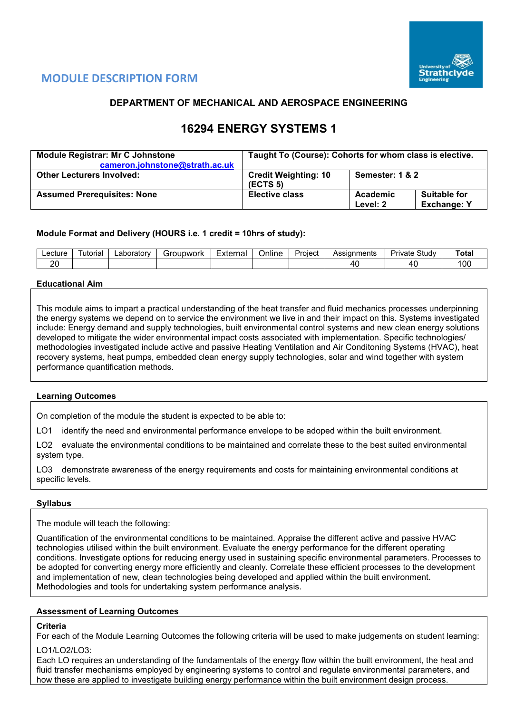

# **MODULE DESCRIPTION FORM**

# **DEPARTMENT OF MECHANICAL AND AEROSPACE ENGINEERING**

# **16294 ENERGY SYSTEMS 1**

| <b>Module Registrar: Mr C Johnstone</b><br>cameron.johnstone@strath.ac.uk | Taught To (Course): Cohorts for whom class is elective. |                      |                                           |  |  |  |
|---------------------------------------------------------------------------|---------------------------------------------------------|----------------------|-------------------------------------------|--|--|--|
| <b>Other Lecturers Involved:</b>                                          | <b>Credit Weighting: 10</b><br>(ECTS <sub>5</sub> )     | Semester: 1 & 2      |                                           |  |  |  |
| <b>Assumed Prerequisites: None</b>                                        | <b>Elective class</b>                                   | Academic<br>Level: 2 | <b>Suitable for</b><br><b>Exchange: Y</b> |  |  |  |

## **Module Format and Delivery (HOURS i.e. 1 credit = 10hrs of study):**

| ∟ecture | utorial | ∟aboratorv | `roupwork<br>- 71 | $\overline{\phantom{0}}$<br>External | . .<br>Online | Project | Assianments | - -<br>Study<br>Private | ™ota.         |
|---------|---------|------------|-------------------|--------------------------------------|---------------|---------|-------------|-------------------------|---------------|
| oc<br>- |         |            |                   |                                      |               |         |             | $\overline{a}$          | <sub>00</sub> |

### **Educational Aim**

This module aims to impart a practical understanding of the heat transfer and fluid mechanics processes underpinning the energy systems we depend on to service the environment we live in and their impact on this. Systems investigated include: Energy demand and supply technologies, built environmental control systems and new clean energy solutions developed to mitigate the wider environmental impact costs associated with implementation. Specific technologies/ methodologies investigated include active and passive Heating Ventilation and Air Conditoning Systems (HVAC), heat recovery systems, heat pumps, embedded clean energy supply technologies, solar and wind together with system performance quantification methods.

### **Learning Outcomes**

On completion of the module the student is expected to be able to:

LO1 identify the need and environmental performance envelope to be adoped within the built environment.

LO2 evaluate the environmental conditions to be maintained and correlate these to the best suited environmental system type.

LO3 demonstrate awareness of the energy requirements and costs for maintaining environmental conditions at specific levels.

### **Syllabus**

The module will teach the following:

Quantification of the environmental conditions to be maintained. Appraise the different active and passive HVAC technologies utilised within the built environment. Evaluate the energy performance for the different operating conditions. Investigate options for reducing energy used in sustaining specific environmental parameters. Processes to be adopted for converting energy more efficiently and cleanly. Correlate these efficient processes to the development and implementation of new, clean technologies being developed and applied within the built environment. Methodologies and tools for undertaking system performance analysis.

## **Assessment of Learning Outcomes**

## **Criteria**

For each of the Module Learning Outcomes the following criteria will be used to make judgements on student learning:

### LO1/LO2/LO3:

Each LO requires an understanding of the fundamentals of the energy flow within the built environment, the heat and fluid transfer mechanisms employed by engineering systems to control and regulate environmental parameters, and how these are applied to investigate building energy performance within the built environment design process.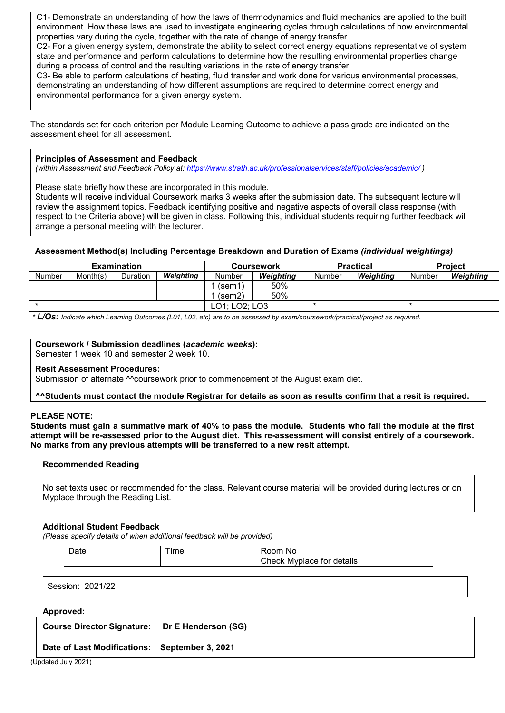C1- Demonstrate an understanding of how the laws of thermodynamics and fluid mechanics are applied to the built environment. How these laws are used to investigate engineering cycles through calculations of how environmental properties vary during the cycle, together with the rate of change of energy transfer.

C2- For a given energy system, demonstrate the ability to select correct energy equations representative of system state and performance and perform calculations to determine how the resulting environmental properties change during a process of control and the resulting variations in the rate of energy transfer.

C3- Be able to perform calculations of heating, fluid transfer and work done for various environmental processes, demonstrating an understanding of how different assumptions are required to determine correct energy and environmental performance for a given energy system.

The standards set for each criterion per Module Learning Outcome to achieve a pass grade are indicated on the assessment sheet for all assessment.

### **Principles of Assessment and Feedback**

*(within Assessment and Feedback Policy at: <https://www.strath.ac.uk/professionalservices/staff/policies/academic/> )*

Please state briefly how these are incorporated in this module.

Students will receive individual Coursework marks 3 weeks after the submission date. The subsequent lecture will review the assignment topics. Feedback identifying positive and negative aspects of overall class response (with respect to the Criteria above) will be given in class. Following this, individual students requiring further feedback will arrange a personal meeting with the lecturer.

# **Assessment Method(s) Including Percentage Breakdown and Duration of Exams** *(individual weightings)*

|        |          | <b>Examination</b> |           | <b>Coursework</b>                           |            |        | <b>Practical</b> | <b>Project</b> |           |  |
|--------|----------|--------------------|-----------|---------------------------------------------|------------|--------|------------------|----------------|-----------|--|
| Number | Month(s) | Duration           | Weighting | Number                                      | Weighting  | Number | Weighting        | Number         | Weighting |  |
|        |          |                    |           | (sem1)<br>(sem2)                            | 50%<br>50% |        |                  |                |           |  |
|        |          |                    |           | LO <sub>2</sub> : LO <sub>3</sub><br>∟O1: I |            |        |                  |                |           |  |

*\* L/Os: Indicate which Learning Outcomes (L01, L02, etc) are to be assessed by exam/coursework/practical/project as required.*

# **Coursework / Submission deadlines (***academic weeks***):**

Semester 1 week 10 and semester 2 week 10.

## **Resit Assessment Procedures:**

Submission of alternate ^^coursework prior to commencement of the August exam diet.

## **^^Students must contact the module Registrar for details as soon as results confirm that a resit is required.**

### **PLEASE NOTE:**

**Students must gain a summative mark of 40% to pass the module. Students who fail the module at the first attempt will be re-assessed prior to the August diet. This re-assessment will consist entirely of a coursework. No marks from any previous attempts will be transferred to a new resit attempt.**

## **Recommended Reading**

No set texts used or recommended for the class. Relevant course material will be provided during lectures or on Myplace through the Reading List.

## **Additional Student Feedback**

*(Please specify details of when additional feedback will be provided)*

| Date | ime | nnm<br>.No                     |
|------|-----|--------------------------------|
|      |     | Check<br>Mvplace for details . |

Session: 2021/22

### **Approved:**

**Course Director Signature: Dr E Henderson (SG)**

### **Date of Last Modifications: September 3, 2021**